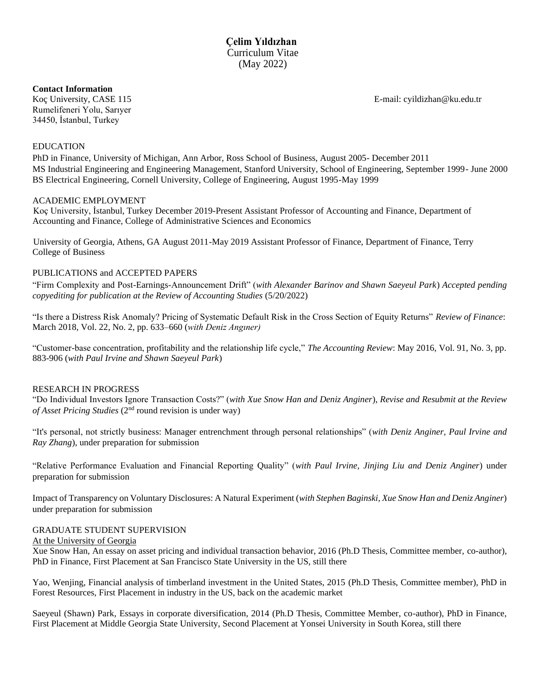### **Contact Information**

Rumelifeneri Yolu, Sarıyer 34450, İstanbul, Turkey

Koç University, CASE 115 E-mail[: cyildizhan@](mailto:celim@uga.edu)ku.edu.tr

### EDUCATION

PhD in Finance, University of Michigan, Ann Arbor, Ross School of Business, August 2005- December 2011 MS Industrial Engineering and Engineering Management, Stanford University, School of Engineering, September 1999- June 2000 BS Electrical Engineering, Cornell University, College of Engineering, August 1995-May 1999

### ACADEMIC EMPLOYMENT

Koç University, İstanbul, Turkey December 2019-Present Assistant Professor of Accounting and Finance, Department of Accounting and Finance, College of Administrative Sciences and Economics

University of Georgia, Athens, GA August 2011-May 2019 Assistant Professor of Finance, Department of Finance, Terry College of Business

#### PUBLICATIONS and ACCEPTED PAPERS

"Firm Complexity and Post-Earnings-Announcement Drift" (*with Alexander Barinov and Shawn Saeyeul Park*) *Accepted pending copyediting for publication at the Review of Accounting Studies* (5/20/2022)

"Is there a Distress Risk Anomaly? Pricing of Systematic Default Risk in the Cross Section of Equity Returns" *Review of Finance*: March 2018, Vol. 22, No. 2, pp. 633–660 (*with Deniz Angıner)*

"Customer-base concentration, profitability and the relationship life cycle," *The Accounting Review*: May 2016, Vol. 91, No. 3, pp. 883-906 (*with Paul Irvine and Shawn Saeyeul Park*)

#### RESEARCH IN PROGRESS

"Do Individual Investors Ignore Transaction Costs?" (*with Xue Snow Han and Deniz Anginer*), *Revise and Resubmit at the Review*  of Asset Pricing Studies (2<sup>nd</sup> round revision is under way)

"It's personal, not strictly business: Manager entrenchment through personal relationships" (*with Deniz Anginer, Paul Irvine and Ray Zhang*), under preparation for submission

"Relative Performance Evaluation and Financial Reporting Quality" (*with Paul Irvine, Jinjing Liu and Deniz Anginer*) under preparation for submission

Impact of Transparency on Voluntary Disclosures: A Natural Experiment (*with Stephen Baginski, Xue Snow Han and Deniz Anginer*) under preparation for submission

### GRADUATE STUDENT SUPERVISION

At the University of Georgia

Xue Snow Han, An essay on asset pricing and individual transaction behavior, 2016 (Ph.D Thesis, Committee member, co-author), PhD in Finance, First Placement at San Francisco State University in the US, still there

Yao, Wenjing, Financial analysis of timberland investment in the United States, 2015 (Ph.D Thesis, Committee member), PhD in Forest Resources, First Placement in industry in the US, back on the academic market

Saeyeul (Shawn) Park, Essays in corporate diversification, 2014 (Ph.D Thesis, Committee Member, co-author), PhD in Finance, First Placement at Middle Georgia State University, Second Placement at Yonsei University in South Korea, still there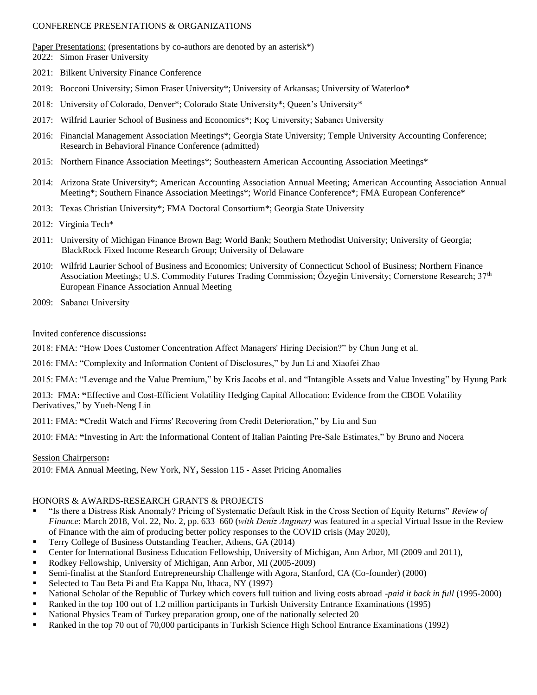## CONFERENCE PRESENTATIONS & ORGANIZATIONS

Paper Presentations: (presentations by co-authors are denoted by an asterisk\*)

2022: Simon Fraser University

- 2021: Bilkent University Finance Conference
- 2019: Bocconi University; Simon Fraser University\*; University of Arkansas; University of Waterloo\*
- 2018: University of Colorado, Denver\*; Colorado State University\*; Queen's University\*
- 2017: Wilfrid Laurier School of Business and Economics\*; Koç University; Sabancı University
- 2016: Financial Management Association Meetings\*; Georgia State University; Temple University Accounting Conference; Research in Behavioral Finance Conference (admitted)
- 2015: Northern Finance Association Meetings\*; Southeastern American Accounting Association Meetings\*
- 2014: Arizona State University\*; American Accounting Association Annual Meeting; American Accounting Association Annual Meeting\*; Southern Finance Association Meetings\*; World Finance Conference\*; FMA European Conference\*
- 2013: Texas Christian University\*; FMA Doctoral Consortium\*; Georgia State University
- 2012: Virginia Tech\*
- 2011: University of Michigan Finance Brown Bag; World Bank; Southern Methodist University; University of Georgia; BlackRock Fixed Income Research Group; University of Delaware
- 2010: Wilfrid Laurier School of Business and Economics; University of Connecticut School of Business; Northern Finance Association Meetings; U.S. Commodity Futures Trading Commission; Özyeğin University; Cornerstone Research; 37<sup>th</sup> European Finance Association Annual Meeting
- 2009: Sabancı University

## Invited conference discussions**:**

2018: FMA: "How Does Customer Concentration Affect Managers' Hiring Decision?" by Chun Jung et al.

2016: FMA: "Complexity and Information Content of Disclosures," by Jun Li and Xiaofei Zhao

2015: FMA: "Leverage and the Value Premium," by Kris Jacobs et al. and "Intangible Assets and Value Investing" by Hyung Park

2013: FMA: **"**Effective and Cost-Efficient Volatility Hedging Capital Allocation: Evidence from the CBOE Volatility Derivatives," by Yueh-Neng Lin

2011: FMA: **"**Credit Watch and Firmsʹ Recovering from Credit Deterioration," by Liu and Sun

2010: FMA: **"**Investing in Art: the Informational Content of Italian Painting Pre-Sale Estimates," by Bruno and Nocera

## Session Chairperson**:**

2010: FMA Annual Meeting, New York, NY**,** Session 115 - Asset Pricing Anomalies

## HONORS & AWARDS-RESEARCH GRANTS & PROJECTS

- "Is there a Distress Risk Anomaly? Pricing of Systematic Default Risk in the Cross Section of Equity Returns" *Review of Finance*: March 2018, Vol. 22, No. 2, pp. 633–660 (*with Deniz Angıner)* was featured in a special Virtual Issue in the Review of Finance with the aim of producing better policy responses to the COVID crisis (May 2020),
- Terry College of Business Outstanding Teacher, Athens, GA (2014)
- Center for International Business Education Fellowship, University of Michigan, Ann Arbor, MI (2009 and 2011),
- Rodkey Fellowship, University of Michigan, Ann Arbor, MI (2005-2009)
- Semi-finalist at the Stanford Entrepreneurship Challenge with Agora, Stanford, CA (Co-founder) (2000)
- Selected to Tau Beta Pi and Eta Kappa Nu, Ithaca, NY (1997)
- National Scholar of the Republic of Turkey which covers full tuition and living costs abroad -*paid it back in full* (1995-2000)
- Ranked in the top 100 out of 1.2 million participants in Turkish University Entrance Examinations (1995)
- National Physics Team of Turkey preparation group, one of the nationally selected 20
- Ranked in the top 70 out of 70,000 participants in Turkish Science High School Entrance Examinations (1992)